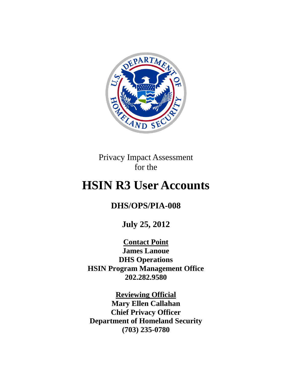

Privacy Impact Assessment for the

# **HSIN R3 User Accounts**

# **DHS/OPS/PIA-008**

**July 25, 2012**

**Contact Point James Lanoue DHS Operations HSIN Program Management Office 202.282.9580**

**Reviewing Official Mary Ellen Callahan Chief Privacy Officer Department of Homeland Security (703) 235-0780**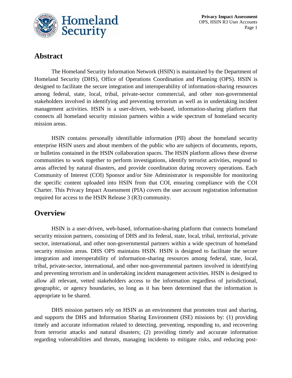

**Privacy Impact Assessment** OPS, HSIN R3 User Accounts Page 1

### **Abstract**

The Homeland Security Information Network (HSIN) is maintained by the Department of Homeland Security (DHS), Office of Operations Coordination and Planning (OPS). HSIN is designed to facilitate the secure integration and interoperability of information-sharing resources among federal, state, local, tribal, private-sector commercial, and other non-governmental stakeholders involved in identifying and preventing terrorism as well as in undertaking incident management activities. HSIN is a user-driven, web-based, information-sharing platform that connects all homeland security mission partners within a wide spectrum of homeland security mission areas.

HSIN contains personally identifiable information (PII) about the homeland security enterprise HSIN users and about members of the public who are subjects of documents, reports, or bulletins contained in the HSIN collaboration spaces. The HSIN platform allows these diverse communities to work together to perform investigations, identify terrorist activities, respond to areas affected by natural disasters, and provide coordination during recovery operations. Each Community of Interest (COI) Sponsor and/or Site Administrator is responsible for monitoring the specific content uploaded into HSIN from that COI, ensuring compliance with the COI Charter. This Privacy Impact Assessment (PIA) covers the user account registration information required for access to the HSIN Release 3 (R3) community.

### **Overview**

HSIN is a user-driven, web-based, information-sharing platform that connects homeland security mission partners, consisting of DHS and its federal, state, local, tribal, territorial, private sector, international, and other non-governmental partners within a wide spectrum of homeland security mission areas. DHS OPS maintains HSIN. HSIN is designed to facilitate the secure integration and interoperability of information-sharing resources among federal, state, local, tribal, private-sector, international, and other non-governmental partners involved in identifying and preventing terrorism and in undertaking incident management activities. HSIN is designed to allow all relevant, vetted stakeholders access to the information regardless of jurisdictional, geographic, or agency boundaries, so long as it has been determined that the information is appropriate to be shared.

DHS mission partners rely on HSIN as an environment that promotes trust and sharing, and supports the DHS and Information Sharing Environment (ISE) missions by: (1) providing timely and accurate information related to detecting, preventing, responding to, and recovering from terrorist attacks and natural disasters; (2) providing timely and accurate information regarding vulnerabilities and threats, managing incidents to mitigate risks, and reducing post-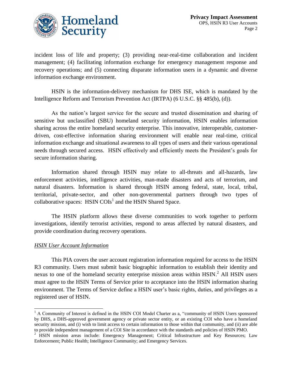

incident loss of life and property; (3) providing near-real-time collaboration and incident management; (4) facilitating information exchange for emergency management response and recovery operations; and (5) connecting disparate information users in a dynamic and diverse information exchange environment.

HSIN is the information-delivery mechanism for DHS ISE, which is mandated by the Intelligence Reform and Terrorism Prevention Act (IRTPA) (6 U.S.C. §§ 485(b), (d)).

As the nation's largest service for the secure and trusted dissemination and sharing of sensitive but unclassified (SBU) homeland security information, HSIN enables information sharing across the entire homeland security enterprise. This innovative, interoperable, customerdriven, cost-effective information sharing environment will enable near real-time, critical information exchange and situational awareness to all types of users and their various operational needs through secured access. HSIN effectively and efficiently meets the President's goals for secure information sharing.

Information shared through HSIN may relate to all-threats and all-hazards, law enforcement activities, intelligence activities, man-made disasters and acts of terrorism, and natural disasters. Information is shared through HSIN among federal, state, local, tribal, territorial, private-sector, and other non-governmental partners through two types of collaborative spaces:  $H\text{SIN COIs}^1$  and the HSIN Shared Space.

The HSIN platform allows these diverse communities to work together to perform investigations, identify terrorist activities, respond to areas affected by natural disasters, and provide coordination during recovery operations.

#### *HSIN User Account Information*

 $\overline{a}$ 

This PIA covers the user account registration information required for access to the HSIN R3 community. Users must submit basic biographic information to establish their identity and nexus to one of the homeland security enterprise mission areas within HSIN.<sup>2</sup> All HSIN users must agree to the HSIN Terms of Service prior to acceptance into the HSIN information sharing environment. The Terms of Service define a HSIN user's basic rights, duties, and privileges as a registered user of HSIN.

<sup>&</sup>lt;sup>1</sup> A Community of Interest is defined in the HSIN COI Model Charter as a, "community of HSIN Users sponsored by DHS, a DHS-approved government agency or private sector entity, or an existing COI who have a homeland security mission, and (i) wish to limit access to certain information to those within that community, and (ii) are able to provide independent management of a COI Site in accordance with the standards and policies of HSIN PMO.

<sup>&</sup>lt;sup>2</sup> HSIN mission areas include: Emergency Management; Critical Infrastructure and Key Resources; Law Enforcement; Public Health; Intelligence Community; and Emergency Services.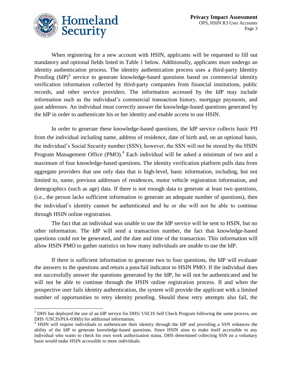



 $\overline{a}$ 

When registering for a new account with HSIN, applicants will be requested to fill out mandatory and optional fields listed in Table 1 below. Additionally, applicants must undergo an identity authentication process. The identity authentication process uses a third-party Identity Proofing  ${\rm (IdP)}^3$  service to generate knowledge-based questions based on commercial identity verification information collected by third-party companies from financial institutions, public records, and other service providers. The information accessed by the IdP may include information such as the individual's commercial transaction history, mortgage payments, and past addresses. An individual must correctly answer the knowledge-based questions generated by the IdP in order to authenticate his or her identity and enable access to use HSIN.

In order to generate these knowledge-based questions, the IdP service collects basic PII from the individual including name, address of residence, date of birth and, on an optional basis, the individual's Social Security number (SSN); however, the SSN will not be stored by the HSIN Program Management Office (PMO).<sup>4</sup> Each individual will be asked a minimum of two and a maximum of four knowledge-based questions. The identity verification platform pulls data from aggregate providers that use only data that is high-level, basic information, including, but not limited to, name, previous addresses of residences, motor vehicle registration information, and demographics (such as age) data. If there is not enough data to generate at least two questions, (i.e., the person lacks sufficient information to generate an adequate number of questions), then the individual's identity cannot be authenticated and he or she will not be able to continue through HSIN online registration.

The fact that an individual was unable to use the IdP service will be sent to HSIN, but no other information. The IdP will send a transaction number, the fact that knowledge-based questions could not be generated, and the date and time of the transaction. This information will allow HSIN PMO to gather statistics on how many individuals are unable to use the IdP.

If there is sufficient information to generate two to four questions, the IdP will evaluate the answers to the questions and return a pass/fail indicator to HSIN PMO. If the individual does not successfully answer the questions generated by the IdP, he will not be authenticated and he will not be able to continue through the HSIN online registration process. If and when the prospective user fails identity authentication, the system will provide the applicant with a limited number of opportunities to retry identity proofing. Should these retry attempts also fail, the

<sup>&</sup>lt;sup>3</sup> DHS has deployed the use of an IdP service for DHS/ USCIS Self Check Program following the same process, see DHS /USCIS/PIA-030(b) for additional information.

<sup>&</sup>lt;sup>4</sup> HSIN will require individuals to authenticate their identity through the IdP and providing a SSN enhances the ability of the IdP to generate knowledge-based questions. Since HSIN aims to make itself accessible to any individual who wants to check his own work authorization status, DHS determined collecting SSN on a voluntary basis would make HSIN accessible to more individuals.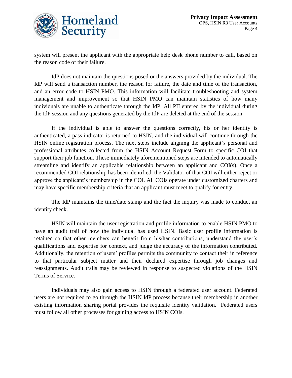

system will present the applicant with the appropriate help desk phone number to call, based on the reason code of their failure.

IdP does not maintain the questions posed or the answers provided by the individual. The IdP will send a transaction number, the reason for failure, the date and time of the transaction, and an error code to HSIN PMO. This information will facilitate troubleshooting and system management and improvement so that HSIN PMO can maintain statistics of how many individuals are unable to authenticate through the IdP. All PII entered by the individual during the IdP session and any questions generated by the IdP are deleted at the end of the session.

If the individual is able to answer the questions correctly, his or her identity is authenticated, a pass indicator is returned to HSIN, and the individual will continue through the HSIN online registration process. The next steps include aligning the applicant's personal and professional attributes collected from the HSIN Account Request Form to specific COI that support their job function. These immediately aforementioned steps are intended to automatically streamline and identify an applicable relationship between an applicant and COI(s). Once a recommended COI relationship has been identified, the Validator of that COI will either reject or approve the applicant's membership in the COI. All COIs operate under customized charters and may have specific membership criteria that an applicant must meet to qualify for entry.

The IdP maintains the time/date stamp and the fact the inquiry was made to conduct an identity check.

HSIN will maintain the user registration and profile information to enable HSIN PMO to have an audit trail of how the individual has used HSIN. Basic user profile information is retained so that other members can benefit from his/her contributions, understand the user's qualifications and expertise for context, and judge the accuracy of the information contributed. Additionally, the retention of users' profiles permits the community to contact their in reference to that particular subject matter and their declared expertise through job changes and reassignments. Audit trails may be reviewed in response to suspected violations of the HSIN Terms of Service.

Individuals may also gain access to HSIN through a federated user account. Federated users are not required to go through the HSIN IdP process because their membership in another existing information sharing portal provides the requisite identity validation. Federated users must follow all other processes for gaining access to HSIN COIs.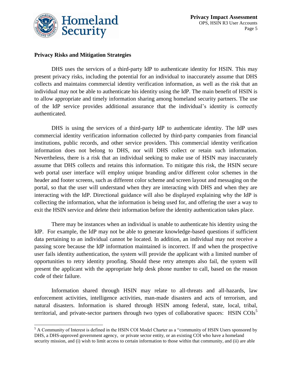

l

#### **Privacy Risks and Mitigation Strategies**

DHS uses the services of a third-party IdP to authenticate identity for HSIN. This may present privacy risks, including the potential for an individual to inaccurately assume that DHS collects and maintains commercial identity verification information, as well as the risk that an individual may not be able to authenticate his identity using the IdP. The main benefit of HSIN is to allow appropriate and timely information sharing among homeland security partners. The use of the IdP service provides additional assurance that the individual's identity is correctly authenticated.

DHS is using the services of a third-party IdP to authenticate identity. The IdP uses commercial identity verification information collected by third-party companies from financial institutions, public records, and other service providers. This commercial identity verification information does not belong to DHS, nor will DHS collect or retain such information. Nevertheless, there is a risk that an individual seeking to make use of HSIN may inaccurately assume that DHS collects and retains this information. To mitigate this risk, the HSIN secure web portal user interface will employ unique branding and/or different color schemes in the header and footer screens, such as different color scheme and screen layout and messaging on the portal, so that the user will understand when they are interacting with DHS and when they are interacting with the IdP. Directional guidance will also be displayed explaining why the IdP is collecting the information, what the information is being used for, and offering the user a way to exit the HSIN service and delete their information before the identity authentication takes place.

There may be instances when an individual is unable to authenticate his identity using the IdP. For example, the IdP may not be able to generate knowledge-based questions if sufficient data pertaining to an individual cannot be located. In addition, an individual may not receive a passing score because the IdP information maintained is incorrect. If and when the prospective user fails identity authentication, the system will provide the applicant with a limited number of opportunities to retry identity proofing. Should these retry attempts also fail, the system will present the applicant with the appropriate help desk phone number to call, based on the reason code of their failure.

Information shared through HSIN may relate to all-threats and all-hazards, law enforcement activities, intelligence activities, man-made disasters and acts of terrorism, and natural disasters. Information is shared through HSIN among federal, state, local, tribal, territorial, and private-sector partners through two types of collaborative spaces: HSIN COIs<sup>5</sup>

<sup>&</sup>lt;sup>5</sup> A Community of Interest is defined in the HSIN COI Model Charter as a "community of HSIN Users sponsored by DHS, a DHS-approved government agency, or private sector entity, or an existing COI who have a homeland security mission, and (i) wish to limit access to certain information to those within that community, and (ii) are able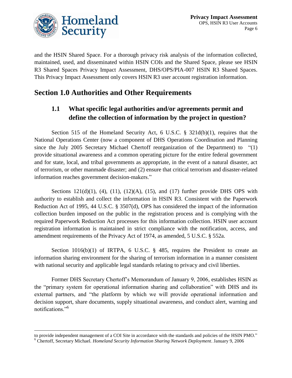

 $\overline{a}$ 

and the HSIN Shared Space. For a thorough privacy risk analysis of the information collected, maintained, used, and disseminated within HSIN COIs and the Shared Space, please see HSIN R3 Shared Spaces Privacy Impact Assessment, DHS/OPS/PIA-007 HSIN R3 Shared Spaces. This Privacy Impact Assessment only covers HSIN R3 user account registration information.

# **Section 1.0 Authorities and Other Requirements**

### **1.1 What specific legal authorities and/or agreements permit and define the collection of information by the project in question?**

Section 515 of the Homeland Security Act, 6 U.S.C. § 321d(b)(1), requires that the National Operations Center (now a component of DHS Operations Coordination and Planning since the July 2005 Secretary Michael Chertoff reorganization of the Department) to "(1) provide situational awareness and a common operating picture for the entire federal government and for state, local, and tribal governments as appropriate, in the event of a natural disaster, act of terrorism, or other manmade disaster; and (2) ensure that critical terrorism and disaster-related information reaches government decision-makers."

Sections  $121(d)(1)$ ,  $(4)$ ,  $(11)$ ,  $(12)(A)$ ,  $(15)$ , and  $(17)$  further provide DHS OPS with authority to establish and collect the information in HSIN R3. Consistent with the Paperwork Reduction Act of 1995, 44 U.S.C. § 3507(d), OPS has considered the impact of the information collection burden imposed on the public in the registration process and is complying with the required Paperwork Reduction Act processes for this information collection. HSIN user account registration information is maintained in strict compliance with the notification, access, and amendment requirements of the Privacy Act of 1974, as amended, 5 U.S.C. § 552a.

Section  $1016(b)(1)$  of IRTPA, 6 U.S.C. § 485, requires the President to create an information sharing environment for the sharing of terrorism information in a manner consistent with national security and applicable legal standards relating to privacy and civil liberties.

Former DHS Secretary Chertoff's Memorandum of January 9, 2006, establishes HSIN as the "primary system for operational information sharing and collaboration" with DHS and its external partners, and "the platform by which we will provide operational information and decision support, share documents, supply situational awareness, and conduct alert, warning and notifications."<sup>6</sup>

to provide independent management of a COI Site in accordance with the standards and policies of the HSIN PMO." <sup>6</sup> Chertoff, Secretary Michael. *Homeland Security Information Sharing Network Deployment*. January 9, 2006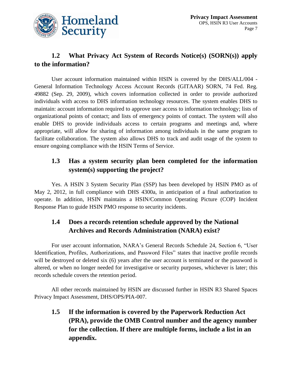

### **1.2 What Privacy Act System of Records Notice(s) (SORN(s)) apply to the information?**

User account information maintained within HSIN is covered by the DHS/ALL/004 - General Information Technology Access Account Records (GITAAR) SORN, 74 Fed. Reg. 49882 (Sep. 29, 2009), which covers information collected in order to provide authorized individuals with access to DHS information technology resources. The system enables DHS to maintain: account information required to approve user access to information technology; lists of organizational points of contact; and lists of emergency points of contact. The system will also enable DHS to provide individuals access to certain programs and meetings and, where appropriate, will allow for sharing of information among individuals in the same program to facilitate collaboration. The system also allows DHS to track and audit usage of the system to ensure ongoing compliance with the HSIN Terms of Service.

### **1.3 Has a system security plan been completed for the information system(s) supporting the project?**

Yes. A HSIN 3 System Security Plan (SSP) has been developed by HSIN PMO as of May 2, 2012, in full compliance with DHS 4300a, in anticipation of a final authorization to operate. In addition, HSIN maintains a HSIN/Common Operating Picture (COP) Incident Response Plan to guide HSIN PMO response to security incidents.

### **1.4 Does a records retention schedule approved by the National Archives and Records Administration (NARA) exist?**

For user account information, NARA's General Records Schedule 24, Section 6, "User Identification, Profiles, Authorizations, and Password Files" states that inactive profile records will be destroyed or deleted six (6) years after the user account is terminated or the password is altered, or when no longer needed for investigative or security purposes, whichever is later; this records schedule covers the retention period.

All other records maintained by HSIN are discussed further in HSIN R3 Shared Spaces Privacy Impact Assessment, DHS/OPS/PIA-007.

**1.5 If the information is covered by the Paperwork Reduction Act (PRA), provide the OMB Control number and the agency number for the collection. If there are multiple forms, include a list in an appendix.**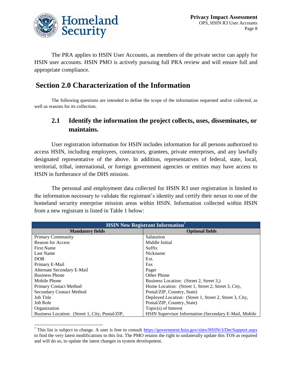

l

The PRA applies to HSIN User Accounts, as members of the private sector can apply for HSIN user accounts. HSIN PMO is actively pursuing full PRA review and will ensure full and appropriate compliance.

### **Section 2.0 Characterization of the Information**

The following questions are intended to define the scope of the information requested and/or collected, as well as reasons for its collection.

### **2.1 Identify the information the project collects, uses, disseminates, or maintains.**

User registration information for HSIN includes information for all persons authorized to access HSIN, including employees, contractors, grantees, private enterprises, and any lawfully designated representative of the above. In addition, representatives of federal, state, local, territorial, tribal, international, or foreign government agencies or entities may have access to HSIN in furtherance of the DHS mission.

The personal and employment data collected for HSIN R3 user registration is limited to the information necessary to validate the registrant's identity and certify their nexus to one of the homeland security enterprise mission areas within HSIN. Information collected within HSIN from a new registrant is listed in Table 1 below:

| <b>HSIN New Registrant Information</b> <sup>7</sup> |                                                         |  |
|-----------------------------------------------------|---------------------------------------------------------|--|
| <b>Mandatory fields</b>                             | <b>Optional fields</b>                                  |  |
| <b>Primary Community</b>                            | Salutation                                              |  |
| <b>Reason for Access</b>                            | Middle Initial                                          |  |
| <b>First Name</b>                                   | Suffix                                                  |  |
| <b>Last Name</b>                                    | Nickname                                                |  |
| <b>DOB</b>                                          | Ext.                                                    |  |
| Primary E-Mail                                      | Fax                                                     |  |
| Alternate Secondary E-Mail                          | Pager                                                   |  |
| <b>Business Phone</b>                               | Other Phone                                             |  |
| Mobile Phone                                        | Business Location: (Street 2, Street 3,)                |  |
| <b>Primary Contact Method</b>                       | Home Location: (Street 1, Street 2, Street 3, City,     |  |
| Secondary Contact Method                            | Postal/ZIP, Country, State)                             |  |
| <b>Job Title</b>                                    | Deployed Location: (Street 1, Street 2, Street 3, City, |  |
| Job Role                                            | Postal/ZIP, Country, State)                             |  |
| Organization                                        | Topic(s) of Interest                                    |  |
| Business Location: (Street 1, City, Postal/ZIP,     | HSIN Supervisor Information (Secondary E-Mail, Mobile   |  |

<sup>&</sup>lt;sup>7</sup> This list is subject to change. A user is free to consult  $\frac{https://government.hsin.gov/sites/HSINr3/DecSupport.aspx}{https://government.hsin.gov/sites/HSINr3/DecSupport.aspx}$  $\frac{https://government.hsin.gov/sites/HSINr3/DecSupport.aspx}{https://government.hsin.gov/sites/HSINr3/DecSupport.aspx}$  $\frac{https://government.hsin.gov/sites/HSINr3/DecSupport.aspx}{https://government.hsin.gov/sites/HSINr3/DecSupport.aspx}$ to find the very latest modifications to this list. The PMO retains the right to unilaterally update this TOS as required and will do so, to update the latest changes in system development.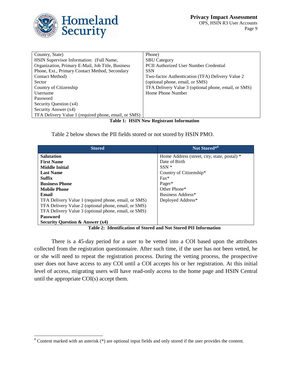

l

| Country, State)                                      | Phone)                                               |
|------------------------------------------------------|------------------------------------------------------|
| HSIN Supervisor Information: (Full Name,             | <b>SBU</b> Category                                  |
| Organization, Primary E-Mail, Job Title, Business    | <b>PCII</b> Authorized User Number Credential        |
| Phone, Ext., Primary Contact Method, Secondary       | <b>SSN</b>                                           |
| Contact Method)                                      | Two-factor Authentication (TFA) Delivery Value 2     |
| Sector                                               | (optional phone, email, or SMS)                      |
| Country of Citizenship                               | TFA Delivery Value 3 (optional phone, email, or SMS) |
| Username                                             | Home Phone Number                                    |
| Password                                             |                                                      |
| Security Question (x4)                               |                                                      |
| Security Answer (x4)                                 |                                                      |
| TFA Delivery Value 1 (required phone, email, or SMS) |                                                      |

**Table 1: HSIN New Registrant Information**

Table 2 below shows the PII fields stored or not stored by HSIN PMO.

| <b>Stored</b>                                        | Not Stored*8                                 |
|------------------------------------------------------|----------------------------------------------|
| <b>Salutation</b>                                    | Home Address (street, city, state, postal) * |
| <b>First Name</b>                                    | Date of Birth                                |
| <b>Middle Initial</b>                                | $SSN *$                                      |
| <b>Last Name</b>                                     | Country of Citizenship*                      |
| <b>Suffix</b>                                        | $\text{Fax}^*$                               |
| <b>Business Phone</b>                                | Pager*                                       |
| <b>Mobile Phone</b>                                  | Other Phone*                                 |
| Email                                                | Business Address*                            |
| TFA Delivery Value 1 (required phone, email, or SMS) | Deployed Address*                            |
| TFA Delivery Value 2 (optional phone, email, or SMS) |                                              |
| TFA Delivery Value 3 (optional phone, email, or SMS) |                                              |
| <b>Password</b>                                      |                                              |
| <b>Security Question &amp; Answer (x4)</b>           |                                              |

**Table 2: Identification of Stored and Not Stored PII Information**

There is a 45-day period for a user to be vetted into a COI based upon the attributes collected from the registration questionnaire. After such time, if the user has not been vetted, he or she will need to repeat the registration process. During the vetting process, the prospective user does not have access to any COI until a COI accepts his or her registration. At this initial level of access, migrating users will have read-only access to the home page and HSIN Central until the appropriate COI(s) accept them.

 $8$  Content marked with an asterisk ( $*)$  are optional input fields and only stored if the user provides the content.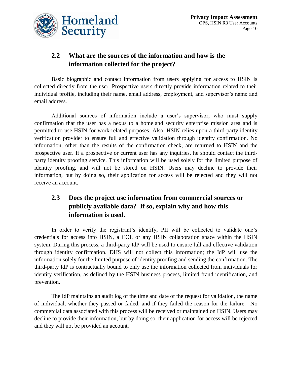

### **2.2 What are the sources of the information and how is the information collected for the project?**

Basic biographic and contact information from users applying for access to HSIN is collected directly from the user. Prospective users directly provide information related to their individual profile, including their name, email address, employment, and supervisor's name and email address.

Additional sources of information include a user's supervisor, who must supply confirmation that the user has a nexus to a homeland security enterprise mission area and is permitted to use HSIN for work-related purposes. Also, HSIN relies upon a third-party identity verification provider to ensure full and effective validation through identity confirmation. No information, other than the results of the confirmation check, are returned to HSIN and the prospective user. If a prospective or current user has any inquiries, he should contact the thirdparty identity proofing service. This information will be used solely for the limited purpose of identity proofing, and will not be stored on HSIN. Users may decline to provide their information, but by doing so, their application for access will be rejected and they will not receive an account.

### **2.3 Does the project use information from commercial sources or publicly available data? If so, explain why and how this information is used.**

In order to verify the registrant's identify, PII will be collected to validate one's credentials for access into HSIN, a COI, or any HSIN collaboration space within the HSIN system. During this process, a third-party IdP will be used to ensure full and effective validation through identity confirmation. DHS will not collect this information; the IdP will use the information solely for the limited purpose of identity proofing and sending the confirmation. The third-party IdP is contractually bound to only use the information collected from individuals for identity verification, as defined by the HSIN business process, limited fraud identification, and prevention.

The IdP maintains an audit log of the time and date of the request for validation, the name of individual, whether they passed or failed, and if they failed the reason for the failure. No commercial data associated with this process will be received or maintained on HSIN. Users may decline to provide their information, but by doing so, their application for access will be rejected and they will not be provided an account.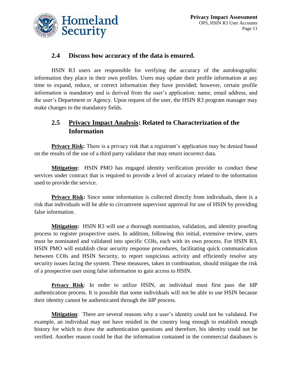

#### **2.4 Discuss how accuracy of the data is ensured.**

HSIN R3 users are responsible for verifying the accuracy of the autobiographic information they place in their own profiles. Users may update their profile information at any time to expand, reduce, or correct information they have provided; however, certain profile information is mandatory and is derived from the user's application: name, email address, and the user's Department or Agency. Upon request of the user, the HSIN R3 program manager may make changes to the mandatory fields.

### **2.5 Privacy Impact Analysis: Related to Characterization of the Information**

**Privacy Risk:** There is a privacy risk that a registrant's application may be denied based on the results of the use of a third party validator that may return incorrect data.

**Mitigation:** HSIN PMO has engaged identity verification provider to conduct these services under contract that is required to provide a level of accuracy related to the information used to provide the service.

**Privacy Risk:** Since some information is collected directly from individuals, there is a risk that individuals will be able to circumvent supervisor approval for use of HSIN by providing false information.

**Mitigation:** HSIN R3 will use a thorough nomination, validation, and identity proofing process to register prospective users. In addition, following this initial, extensive review, users must be nominated and validated into specific COIs, each with its own process. For HSIN R3, HSIN PMO will establish clear security response procedures, facilitating quick communication between COIs and HSIN Security, to report suspicious activity and efficiently resolve any security issues facing the system. These measures, taken in combination, should mitigate the risk of a prospective user using false information to gain access to HSIN.

**Privacy Risk**: In order to utilize HSIN, an individual must first pass the IdP authentication process. It is possible that some individuals will not be able to use HSIN because their identity cannot be authenticated through the IdP process.

**Mitigation**: There are several reasons why a user's identity could not be validated. For example, an individual may not have resided in the country long enough to establish enough history for which to draw the authentication questions and therefore, his identity could not be verified. Another reason could be that the information contained in the commercial databases is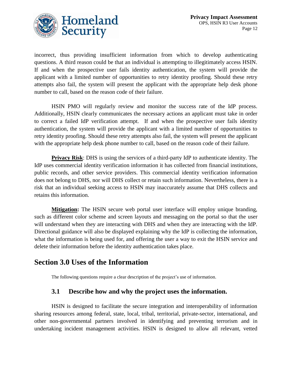

incorrect, thus providing insufficient information from which to develop authenticating questions. A third reason could be that an individual is attempting to illegitimately access HSIN. If and when the prospective user fails identity authentication, the system will provide the applicant with a limited number of opportunities to retry identity proofing. Should these retry attempts also fail, the system will present the applicant with the appropriate help desk phone number to call, based on the reason code of their failure.

HSIN PMO will regularly review and monitor the success rate of the IdP process. Additionally, HSIN clearly communicates the necessary actions an applicant must take in order to correct a failed IdP verification attempt. If and when the prospective user fails identity authentication, the system will provide the applicant with a limited number of opportunities to retry identity proofing. Should these retry attempts also fail, the system will present the applicant with the appropriate help desk phone number to call, based on the reason code of their failure.

**Privacy Risk**: DHS is using the services of a third-party IdP to authenticate identity. The IdP uses commercial identity verification information it has collected from financial institutions, public records, and other service providers. This commercial identity verification information does not belong to DHS, nor will DHS collect or retain such information. Nevertheless, there is a risk that an individual seeking access to HSIN may inaccurately assume that DHS collects and retains this information.

**Mitigation:** The HSIN secure web portal user interface will employ unique branding, such as different color scheme and screen layouts and messaging on the portal so that the user will understand when they are interacting with DHS and when they are interacting with the IdP. Directional guidance will also be displayed explaining why the IdP is collecting the information, what the information is being used for, and offering the user a way to exit the HSIN service and delete their information before the identity authentication takes place.

### **Section 3.0 Uses of the Information**

The following questions require a clear description of the project's use of information.

### **3.1 Describe how and why the project uses the information.**

HSIN is designed to facilitate the secure integration and interoperability of information sharing resources among federal, state, local, tribal, territorial, private-sector, international, and other non-governmental partners involved in identifying and preventing terrorism and in undertaking incident management activities. HSIN is designed to allow all relevant, vetted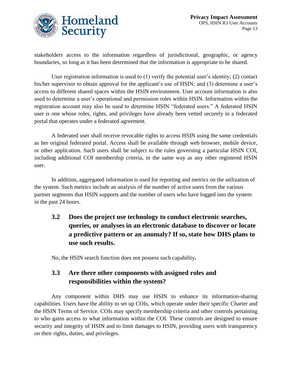

stakeholders access to the information regardless of jurisdictional, geographic, or agency boundaries, so long as it has been determined that the information is appropriate to be shared.

User registration information is used to (1) verify the potential user's identity; (2) contact his/her supervisor to obtain approval for the applicant's use of HSIN; and (3) determine a user's access to different shared spaces within the HSIN environment. User account information is also used to determine a user's operational and permission roles within HSIN. Information within the registration account may also be used to determine HSIN "federated users." A federated HSIN user is one whose roles, rights, and privileges have already been vetted securely in a federated portal that operates under a federated agreement.

A federated user shall receive revocable rights to access HSIN using the same credentials as her original federated portal. Access shall be available through web browser, mobile device, or other application. Such users shall be subject to the rules governing a particular HSIN COI, including additional COI membership criteria, in the same way as any other registered HSIN user.

In addition, aggregated information is used for reporting and metrics on the utilization of the system. Such metrics include an analysis of the number of active users from the various partner segments that HSIN supports and the number of users who have logged into the system in the past 24 hours.

**3.2 Does the project use technology to conduct electronic searches, queries, or analyses in an electronic database to discover or locate a predictive pattern or an anomaly? If so, state how DHS plans to use such results.** 

No, the HSIN search function does not possess such capability**.**

### **3.3 Are there other components with assigned roles and responsibilities within the system?**

Any component within DHS may use HSIN to enhance its information-sharing capabilities. Users have the ability to set up COIs, which operate under their specific Charter and the HSIN Terms of Service. COIs may specify membership criteria and other controls pertaining to who gains access to what information within the COI. These controls are designed to ensure security and integrity of HSIN and to limit damages to HSIN, providing users with transparency on their rights, duties, and privileges.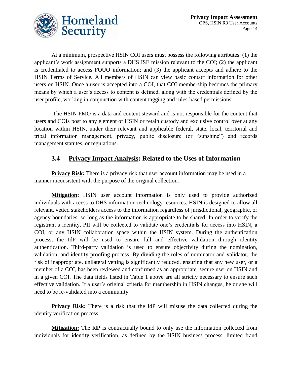

At a minimum, prospective HSIN COI users must possess the following attributes: (1) the applicant's work assignment supports a DHS ISE mission relevant to the COI; (2) the applicant is credentialed to access FOUO information; and (3) the applicant accepts and adhere to the HSIN Terms of Service. All members of HSIN can view basic contact information for other users on HSIN. Once a user is accepted into a COI, that COI membership becomes the primary means by which a user's access to content is defined, along with the credentials defined by the user profile, working in conjunction with content tagging and rules-based permissions.

The HSIN PMO is a data and content steward and is not responsible for the content that users and COIs post to any element of HSIN or retain custody and exclusive control over at any location within HSIN, under their relevant and applicable federal, state, local, territorial and tribal information management, privacy, public disclosure (or "sunshine") and records management statutes, or regulations.

### **3.4 Privacy Impact Analysis: Related to the Uses of Information**

**Privacy Risk:** There is a privacy risk that user account information may be used in a manner inconsistent with the purpose of the original collection.

**Mitigation:** HSIN user account information is only used to provide authorized individuals with access to DHS information technology resources. HSIN is designed to allow all relevant, vetted stakeholders access to the information regardless of jurisdictional, geographic, or agency boundaries, so long as the information is appropriate to be shared. In order to verify the registrant's identity, PII will be collected to validate one's credentials for access into HSIN, a COI, or any HSIN collaboration space within the HSIN system. During the authentication process, the IdP will be used to ensure full and effective validation through identity authentication. Third-party validation is used to ensure objectivity during the nomination, validation, and identity proofing process. By dividing the roles of nominator and validator, the risk of inappropriate, unilateral vetting is significantly reduced, ensuring that any new user, or a member of a COI, has been reviewed and confirmed as an appropriate, secure user on HSIN and in a given COI. The data fields listed in Table 1 above are all strictly necessary to ensure such effective validation. If a user's original criteria for membership in HSIN changes, he or she will need to be re-validated into a community.

**Privacy Risk:** There is a risk that the IdP will misuse the data collected during the identity verification process.

**Mitigation:** The IdP is contractually bound to only use the information collected from individuals for identity verification, as defined by the HSIN business process, limited fraud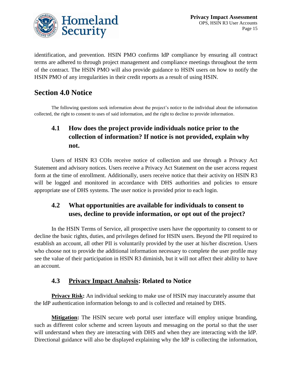

identification, and prevention. HSIN PMO confirms IdP compliance by ensuring all contract terms are adhered to through project management and compliance meetings throughout the term of the contract. The HSIN PMO will also provide guidance to HSIN users on how to notify the HSIN PMO of any irregularities in their credit reports as a result of using HSIN.

# **Section 4.0 Notice**

The following questions seek information about the project's notice to the individual about the information collected, the right to consent to uses of said information, and the right to decline to provide information.

# **4.1 How does the project provide individuals notice prior to the collection of information? If notice is not provided, explain why not.**

Users of HSIN R3 COIs receive notice of collection and use through a Privacy Act Statement and advisory notices. Users receive a Privacy Act Statement on the user access request form at the time of enrollment. Additionally, users receive notice that their activity on HSIN R3 will be logged and monitored in accordance with DHS authorities and policies to ensure appropriate use of DHS systems. The user notice is provided prior to each login.

### **4.2 What opportunities are available for individuals to consent to uses, decline to provide information, or opt out of the project?**

In the HSIN Terms of Service, all prospective users have the opportunity to consent to or decline the basic rights, duties, and privileges defined for HSIN users. Beyond the PII required to establish an account, all other PII is voluntarily provided by the user at his/her discretion. Users who choose not to provide the additional information necessary to complete the user profile may see the value of their participation in HSIN R3 diminish, but it will not affect their ability to have an account.

### **4.3 Privacy Impact Analysis: Related to Notice**

**Privacy Risk:** An individual seeking to make use of HSIN may inaccurately assume that the IdP authentication information belongs to and is collected and retained by DHS.

**Mitigation:** The HSIN secure web portal user interface will employ unique branding, such as different color scheme and screen layouts and messaging on the portal so that the user will understand when they are interacting with DHS and when they are interacting with the IdP. Directional guidance will also be displayed explaining why the IdP is collecting the information,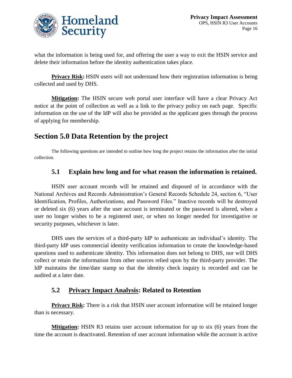

what the information is being used for, and offering the user a way to exit the HSIN service and delete their information before the identity authentication takes place.

**Privacy Risk:** HSIN users will not understand how their registration information is being collected and used by DHS.

**Mitigation:** The HSIN secure web portal user interface will have a clear Privacy Act notice at the point of collection as well as a link to the privacy policy on each page. Specific information on the use of the IdP will also be provided as the applicant goes through the process of applying for membership.

### **Section 5.0 Data Retention by the project**

The following questions are intended to outline how long the project retains the information after the initial collection.

#### **5.1 Explain how long and for what reason the information is retained.**

HSIN user account records will be retained and disposed of in accordance with the National Archives and Records Administration's General Records Schedule 24, section 6, "User Identification, Profiles, Authorizations, and Password Files." Inactive records will be destroyed or deleted six (6) years after the user account is terminated or the password is altered, when a user no longer wishes to be a registered user, or when no longer needed for investigative or security purposes, whichever is later.

DHS uses the services of a third-party IdP to authenticate an individual's identity. The third-party IdP uses commercial identity verification information to create the knowledge-based questions used to authenticate identity. This information does not belong to DHS, nor will DHS collect or retain the information from other sources relied upon by the third-party provider. The IdP maintains the time/date stamp so that the identity check inquiry is recorded and can be audited at a later date.

#### **5.2 Privacy Impact Analysis: Related to Retention**

**Privacy Risk:** There is a risk that HSIN user account information will be retained longer than is necessary.

**Mitigation:** HSIN R3 retains user account information for up to six (6) years from the time the account is deactivated. Retention of user account information while the account is active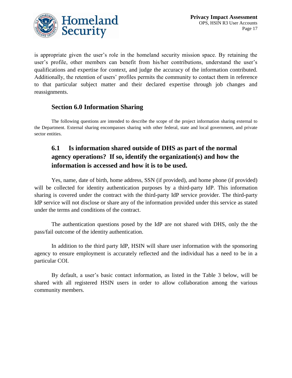

is appropriate given the user's role in the homeland security mission space. By retaining the user's profile, other members can benefit from his/her contributions, understand the user's qualifications and expertise for context, and judge the accuracy of the information contributed. Additionally, the retention of users' profiles permits the community to contact them in reference to that particular subject matter and their declared expertise through job changes and reassignments.

#### **Section 6.0 Information Sharing**

The following questions are intended to describe the scope of the project information sharing external to the Department. External sharing encompasses sharing with other federal, state and local government, and private sector entities.

### **6.1 Is information shared outside of DHS as part of the normal agency operations? If so, identify the organization(s) and how the information is accessed and how it is to be used.**

Yes, name, date of birth, home address, SSN (if provided), and home phone (if provided) will be collected for identity authentication purposes by a third-party IdP. This information sharing is covered under the contract with the third-party IdP service provider. The third-party IdP service will not disclose or share any of the information provided under this service as stated under the terms and conditions of the contract.

The authentication questions posed by the IdP are not shared with DHS, only the the pass/fail outcome of the identity authentication.

In addition to the third party IdP, HSIN will share user information with the sponsoring agency to ensure employment is accurately reflected and the individual has a need to be in a particular COI.

By default, a user's basic contact information, as listed in the Table 3 below, will be shared with all registered HSIN users in order to allow collaboration among the various community members.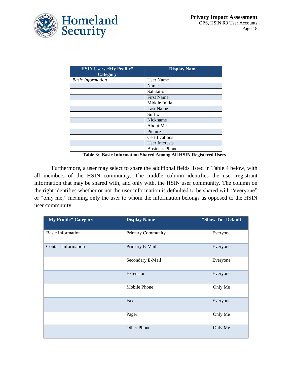

| <b>HSIN Users "My Profile"</b><br><b>Category</b> | <b>Display Name</b>   |
|---------------------------------------------------|-----------------------|
| <b>Basic Information</b>                          | User Name             |
|                                                   | Name                  |
|                                                   | Salutation            |
|                                                   | <b>First Name</b>     |
|                                                   | Middle Initial        |
|                                                   | Last Name             |
|                                                   | Suffix                |
|                                                   | Nickname              |
|                                                   | About Me              |
|                                                   | Picture               |
|                                                   | Certifications        |
|                                                   | <b>User Interests</b> |
|                                                   | <b>Business Phone</b> |

**Table 3: Basic Information Shared Among All HSIN Registered Users**

Furthermore, a user may select to share the additional fields listed in Table 4 below, with all members of the HSIN community. The middle column identifies the user registrant information that may be shared with, and only with, the HSIN user community. The column on the right identifies whether or not the user information is defaulted to be shared with "everyone" or "only me," meaning only the user to whom the information belongs as opposed to the HSIN user community.

| "My Profile" Category      | <b>Display Name</b>      | "Show To" Default |
|----------------------------|--------------------------|-------------------|
| <b>Basic Information</b>   | <b>Primary Community</b> | Everyone          |
| <b>Contact Information</b> | Primary E-Mail           | Everyone          |
|                            | Secondary E-Mail         | Everyone          |
|                            | Extension                | Everyone          |
|                            | Mobile Phone             | Only Me           |
|                            | Fax                      | Everyone          |
|                            | Pager                    | Only Me           |
|                            | <b>Other Phone</b>       | Only Me           |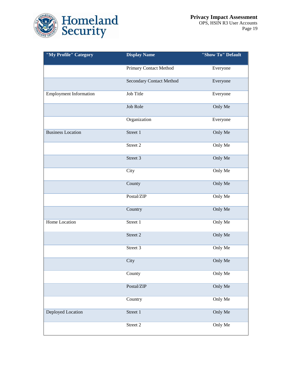

| "My Profile" Category         | <b>Display Name</b>      | "Show To" Default |  |
|-------------------------------|--------------------------|-------------------|--|
|                               | Primary Contact Method   | Everyone          |  |
|                               | Secondary Contact Method | Everyone          |  |
| <b>Employment Information</b> | Job Title                | Everyone          |  |
|                               | Job Role                 | Only Me           |  |
|                               | Organization             | Everyone          |  |
| <b>Business Location</b>      | Street 1                 | Only Me           |  |
|                               | Street 2                 | Only Me           |  |
|                               | Street 3                 | Only Me           |  |
|                               | City                     | Only Me           |  |
|                               | County                   | Only Me           |  |
|                               | Postal/ZIP               | Only Me           |  |
|                               | Country                  | Only Me           |  |
| Home Location                 | Street 1                 | Only Me           |  |
|                               | Street 2                 | Only Me           |  |
|                               | Street 3                 | Only Me           |  |
|                               | City                     | Only Me           |  |
|                               | County                   | Only Me           |  |
|                               | Postal/ZIP               | Only Me           |  |
|                               | Country                  | Only Me           |  |
| <b>Deployed Location</b>      | Street 1                 | Only Me           |  |
|                               | Street 2                 | Only Me           |  |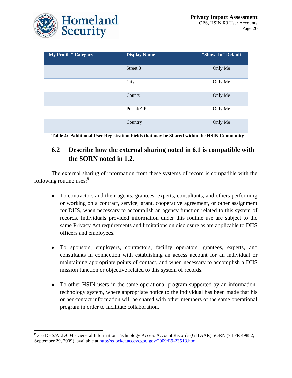

 $\overline{a}$ 

| "My Profile" Category | <b>Display Name</b> | "Show To" Default |
|-----------------------|---------------------|-------------------|
|                       | Street 3            | Only Me           |
|                       | City                | Only Me           |
|                       | County              | Only Me           |
|                       | Postal/ZIP          | Only Me           |
|                       | Country             | Only Me           |

**Table 4: Additional User Registration Fields that may be Shared within the HSIN Community**

### **6.2 Describe how the external sharing noted in 6.1 is compatible with the SORN noted in 1.2.**

The external sharing of information from these systems of record is compatible with the following routine uses: $\frac{9}{2}$ 

- To contractors and their agents, grantees, experts, consultants, and others performing  $\bullet$ or working on a contract, service, grant, cooperative agreement, or other assignment for DHS, when necessary to accomplish an agency function related to this system of records. Individuals provided information under this routine use are subject to the same Privacy Act requirements and limitations on disclosure as are applicable to DHS officers and employees.
- To sponsors, employers, contractors, facility operators, grantees, experts, and consultants in connection with establishing an access account for an individual or maintaining appropriate points of contact, and when necessary to accomplish a DHS mission function or objective related to this system of records.
- To other HSIN users in the same operational program supported by an informationtechnology system, where appropriate notice to the individual has been made that his or her contact information will be shared with other members of the same operational program in order to facilitate collaboration.

<sup>9</sup> *See* DHS/ALL/004 - General Information Technology Access Account Records (GITAAR) SORN (74 FR 49882; September 29, 2009), available at [http://edocket.access.gpo.gov/2009/E9-23513.htm.](http://edocket.access.gpo.gov/2009/E9-23513.htm)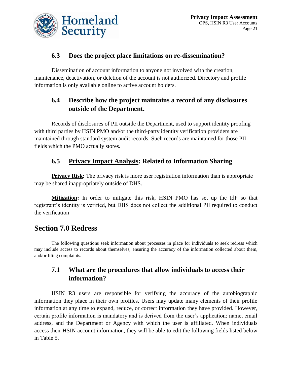

### **6.3 Does the project place limitations on re-dissemination?**

Dissemination of account information to anyone not involved with the creation, maintenance, deactivation, or deletion of the account is not authorized. Directory and profile information is only available online to active account holders.

### **6.4 Describe how the project maintains a record of any disclosures outside of the Department.**

Records of disclosures of PII outside the Department, used to support identity proofing with third parties by HSIN PMO and/or the third-party identity verification providers are maintained through standard system audit records. Such records are maintained for those PII fields which the PMO actually stores.

### **6.5 Privacy Impact Analysis: Related to Information Sharing**

**Privacy Risk:** The privacy risk is more user registration information than is appropriate may be shared inappropriately outside of DHS.

**Mitigation:** In order to mitigate this risk, HSIN PMO has set up the IdP so that registrant's identity is verified, but DHS does not collect the additional PII required to conduct the verification

### **Section 7.0 Redress**

The following questions seek information about processes in place for individuals to seek redress which may include access to records about themselves, ensuring the accuracy of the information collected about them, and/or filing complaints.

### **7.1 What are the procedures that allow individuals to access their information?**

HSIN R3 users are responsible for verifying the accuracy of the autobiographic information they place in their own profiles. Users may update many elements of their profile information at any time to expand, reduce, or correct information they have provided. However, certain profile information is mandatory and is derived from the user's application: name, email address, and the Department or Agency with which the user is affiliated. When individuals access their HSIN account information, they will be able to edit the following fields listed below in Table 5.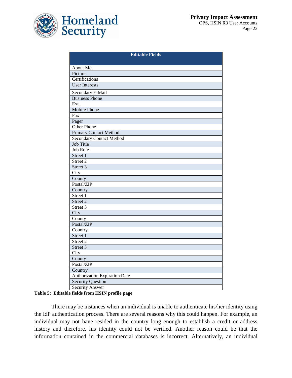

| <b>Editable Fields</b>               |  |  |
|--------------------------------------|--|--|
| About Me                             |  |  |
| Picture                              |  |  |
| Certifications                       |  |  |
| <b>User Interests</b>                |  |  |
|                                      |  |  |
| Secondary E-Mail                     |  |  |
| <b>Business Phone</b>                |  |  |
| Ext.                                 |  |  |
| <b>Mobile Phone</b>                  |  |  |
| $\overline{F}ax$                     |  |  |
| Pager                                |  |  |
| Other Phone                          |  |  |
| <b>Primary Contact Method</b>        |  |  |
| <b>Secondary Contact Method</b>      |  |  |
| <b>Job Title</b>                     |  |  |
| <b>Job Role</b>                      |  |  |
| Street 1                             |  |  |
| Street 2                             |  |  |
| Street 3                             |  |  |
| City                                 |  |  |
| County                               |  |  |
| Postal/ZIP                           |  |  |
| Country                              |  |  |
| Street 1                             |  |  |
| Street 2                             |  |  |
| Street 3                             |  |  |
| City                                 |  |  |
| County                               |  |  |
| Postal/ZIP                           |  |  |
| Country                              |  |  |
| Street 1                             |  |  |
| Street 2                             |  |  |
| Street 3                             |  |  |
| City                                 |  |  |
| County                               |  |  |
| Postal/ZIP                           |  |  |
| Country                              |  |  |
| <b>Authorization Expiration Date</b> |  |  |
| <b>Security Question</b>             |  |  |
| Security Answer                      |  |  |

#### **Table 5: Editable fields from HSIN profile page**

There may be instances when an individual is unable to authenticate his/her identity using the IdP authentication process. There are several reasons why this could happen. For example, an individual may not have resided in the country long enough to establish a credit or address history and therefore, his identity could not be verified. Another reason could be that the information contained in the commercial databases is incorrect. Alternatively, an individual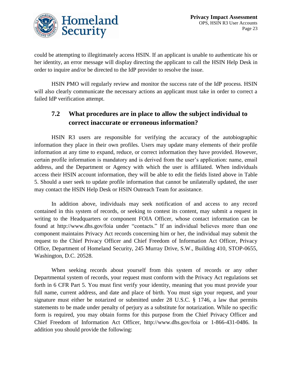

could be attempting to illegitimately access HSIN. If an applicant is unable to authenticate his or her identity, an error message will display directing the applicant to call the HSIN Help Desk in order to inquire and/or be directed to the IdP provider to resolve the issue.

HSIN PMO will regularly review and monitor the success rate of the IdP process. HSIN will also clearly communicate the necessary actions an applicant must take in order to correct a failed IdP verification attempt.

### **7.2 What procedures are in place to allow the subject individual to correct inaccurate or erroneous information?**

HSIN R3 users are responsible for verifying the accuracy of the autobiographic information they place in their own profiles. Users may update many elements of their profile information at any time to expand, reduce, or correct information they have provided. However, certain profile information is mandatory and is derived from the user's application: name, email address, and the Department or Agency with which the user is affiliated. When individuals access their HSIN account information, they will be able to edit the fields listed above in Table 5. Should a user seek to update profile information that cannot be unilaterally updated, the user may contact the HSIN Help Desk or HSIN Outreach Team for assistance.

In addition above, individuals may seek notification of and access to any record contained in this system of records, or seeking to contest its content, may submit a request in writing to the Headquarters or component FOIA Officer, whose contact information can be found at http://www.dhs.gov/foia under "contacts." If an individual believes more than one component maintains Privacy Act records concerning him or her, the individual may submit the request to the Chief Privacy Officer and Chief Freedom of Information Act Officer, Privacy Office, Department of Homeland Security, 245 Murray Drive, S.W., Building 410, STOP-0655, Washington, D.C. 20528.

When seeking records about yourself from this system of records or any other Departmental system of records, your request must conform with the Privacy Act regulations set forth in 6 CFR Part 5. You must first verify your identity, meaning that you must provide your full name, current address, and date and place of birth. You must sign your request, and your signature must either be notarized or submitted under 28 U.S.C. § 1746, a law that permits statements to be made under penalty of perjury as a substitute for notarization. While no specific form is required, you may obtain forms for this purpose from the Chief Privacy Officer and Chief Freedom of Information Act Officer, http://www.dhs.gov/foia or 1-866-431-0486. In addition you should provide the following: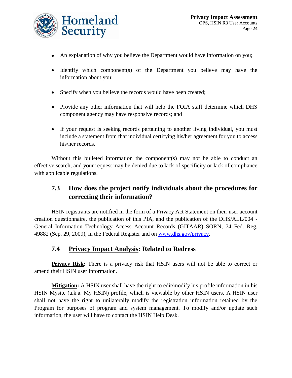

- An explanation of why you believe the Department would have information on you;
- $\bullet$  Identify which component(s) of the Department you believe may have the information about you;
- Specify when you believe the records would have been created;
- Provide any other information that will help the FOIA staff determine which DHS component agency may have responsive records; and
- If your request is seeking records pertaining to another living individual, you must include a statement from that individual certifying his/her agreement for you to access his/her records.

Without this bulleted information the component(s) may not be able to conduct an effective search, and your request may be denied due to lack of specificity or lack of compliance with applicable regulations.

### **7.3 How does the project notify individuals about the procedures for correcting their information?**

HSIN registrants are notified in the form of a Privacy Act Statement on their user account creation questionnaire, the publication of this PIA, and the publication of the DHS/ALL/004 - General Information Technology Access Account Records (GITAAR) SORN, 74 Fed. Reg. 49882 (Sep. 29, 2009), in the Federal Register and on [www.dhs.gov/privacy.](http://www.dhs.gov/privacy)

#### **7.4 Privacy Impact Analysis: Related to Redress**

**Privacy Risk:** There is a privacy risk that HSIN users will not be able to correct or amend their HSIN user information.

**Mitigation:** A HSIN user shall have the right to edit/modify his profile information in his HSIN Mysite (a.k.a. My HSIN) profile, which is viewable by other HSIN users. A HSIN user shall not have the right to unilaterally modify the registration information retained by the Program for purposes of program and system management. To modify and/or update such information, the user will have to contact the HSIN Help Desk.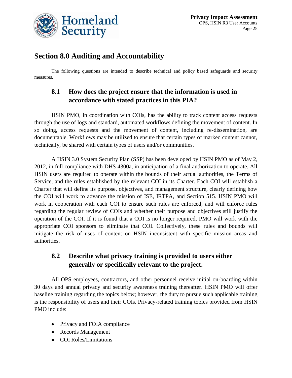

### **Section 8.0 Auditing and Accountability**

The following questions are intended to describe technical and policy based safeguards and security measures.

### **8.1 How does the project ensure that the information is used in accordance with stated practices in this PIA?**

HSIN PMO, in coordination with COIs, has the ability to track content access requests through the use of logs and standard, automated workflows defining the movement of content. In so doing, access requests and the movement of content, including re-dissemination, are documentable. Workflows may be utilized to ensure that certain types of marked content cannot, technically, be shared with certain types of users and/or communities.

A HSIN 3.0 System Security Plan (SSP) has been developed by HSIN PMO as of May 2, 2012, in full compliance with DHS 4300a, in anticipation of a final authorization to operate. All HSIN users are required to operate within the bounds of their actual authorities, the Terms of Service, and the rules established by the relevant COI in its Charter. Each COI will establish a Charter that will define its purpose, objectives, and management structure, clearly defining how the COI will work to advance the mission of ISE, IRTPA, and Section 515. HSIN PMO will work in cooperation with each COI to ensure such rules are enforced, and will enforce rules regarding the regular review of COIs and whether their purpose and objectives still justify the operation of the COI. If it is found that a COI is no longer required, PMO will work with the appropriate COI sponsors to eliminate that COI. Collectively, these rules and bounds will mitigate the risk of uses of content on HSIN inconsistent with specific mission areas and authorities.

### **8.2 Describe what privacy training is provided to users either generally or specifically relevant to the project.**

All OPS employees, contractors, and other personnel receive initial on-boarding within 30 days and annual privacy and security awareness training thereafter. HSIN PMO will offer baseline training regarding the topics below; however, the duty to pursue such applicable training is the responsibility of users and their COIs. Privacy-related training topics provided from HSIN PMO include:

- Privacy and FOIA compliance
- Records Management
- COI Roles/Limitations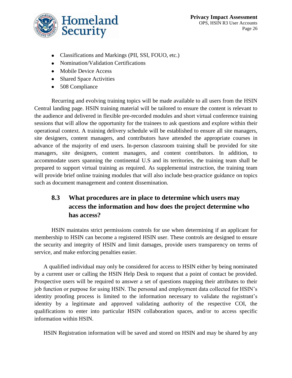

- Classifications and Markings (PII, SSI, FOUO, etc.)
- Nomination/Validation Certifications
- Mobile Device Access
- Shared Space Activities
- 508 Compliance

Recurring and evolving training topics will be made available to all users from the HSIN Central landing page. HSIN training material will be tailored to ensure the content is relevant to the audience and delivered in flexible pre-recorded modules and short virtual conference training sessions that will allow the opportunity for the trainees to ask questions and explore within their operational context. A training delivery schedule will be established to ensure all site managers, site designers, content managers, and contributors have attended the appropriate courses in advance of the majority of end users. In-person classroom training shall be provided for site managers, site designers, content managers, and content contributors. In addition, to accommodate users spanning the continental U.S and its territories, the training team shall be prepared to support virtual training as required. As supplemental instruction, the training team will provide brief online training modules that will also include best-practice guidance on topics such as document management and content dissemination.

### **8.3 What procedures are in place to determine which users may access the information and how does the project determine who has access?**

HSIN maintains strict permissions controls for use when determining if an applicant for membership to HSIN can become a registered HSIN user. These controls are designed to ensure the security and integrity of HSIN and limit damages, provide users transparency on terms of service, and make enforcing penalties easier.

A qualified individual may only be considered for access to HSIN either by being nominated by a current user or calling the HSIN Help Desk to request that a point of contact be provided. Prospective users will be required to answer a set of questions mapping their attributes to their job function or purpose for using HSIN. The personal and employment data collected for HSIN's identity proofing process is limited to the information necessary to validate the registrant's identity by a legitimate and approved validating authority of the respective COI, the qualifications to enter into particular HSIN collaboration spaces, and/or to access specific information within HSIN.

HSIN Registration information will be saved and stored on HSIN and may be shared by any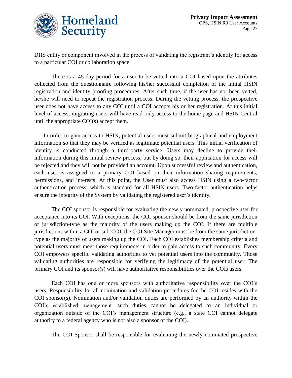

DHS entity or component involved in the process of validating the registrant's identity for access to a particular COI or collaboration space.

There is a 45-day period for a user to be vetted into a COI based upon the attributes collected from the questionnaire following his/her successful completion of the initial HSIN registration and identity proofing procedures. After such time, if the user has not been vetted, he/she will need to repeat the registration process. During the vetting process, the prospective user does not have access to any COI until a COI accepts his or her registration. At this initial level of access, migrating users will have read-only access to the home page and HSIN Central until the appropriate COI(s) accept them.

In order to gain access to HSIN, potential users must submit biographical and employment information so that they may be verified as legitimate potential users. This initial verification of identity is conducted through a third-party service. Users may decline to provide their information during this initial review process, but by doing so, their application for access will be rejected and they will not be provided an account. Upon successful review and authentication, each user is assigned to a primary COI based on their information sharing requirements, permissions, and interests. At this point, the User must also access HSIN using a two-factor authentication process, which is standard for all HSIN users. Two-factor authentication helps ensure the integrity of the System by validating the registered user's identity.

The COI sponsor is responsible for evaluating the newly nominated, prospective user for acceptance into its COI. With exceptions, the COI sponsor should be from the same jurisdiction or jurisdiction-type as the majority of the users making up the COI. If there are multiple jurisdictions within a COI or sub-COI, the COI Site Manager must be from the same jurisdictiontype as the majority of users making up the COI. Each COI establishes membership criteria and potential users must meet those requirements in order to gain access to such community. Every COI empowers specific validating authorities to vet potential users into the community. Those validating authorities are responsible for verifying the legitimacy of the potential user. The primary COI and its sponsor(s) will have authoritative responsibilities over the COIs users.

Each COI has one or more sponsors with authoritative responsibility over the COI's users. Responsibility for all nomination and validation procedures for the COI resides with the COI sponsor(s). Nomination and/or validation duties are performed by an authority within the COI's established management—such duties cannot be delegated to an individual or organization outside of the COI's management structure (e.g., a state COI cannot delegate authority to a federal agency who is not also a sponsor of the COI).

The COI Sponsor shall be responsible for evaluating the newly nominated prospective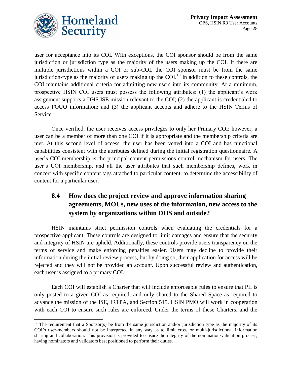

 $\overline{\phantom{a}}$ 

user for acceptance into its COI. With exceptions, the COI sponsor should be from the same jurisdiction or jurisdiction type as the majority of the users making up the COI. If there are multiple jurisdictions within a COI or sub-COI, the COI sponsor must be from the same jurisdiction-type as the majority of users making up the COI.<sup>10</sup> In addition to these controls, the COI maintains additional criteria for admitting new users into its community. At a minimum, prospective HSIN COI users must possess the following attributes: (1) the applicant's work assignment supports a DHS ISE mission relevant to the COI; (2) the applicant is credentialed to access FOUO information; and (3) the applicant accepts and adhere to the HSIN Terms of Service.

Once verified, the user receives access privileges to only her Primary COI; however, a user can be a member of more than one COI if it is appropriate and the membership criteria are met. At this second level of access, the user has been vetted into a COI and has functional capabilities consistent with the attributes defined during the initial registration questionnaire. A user's COI membership is the principal content-permissions control mechanism for users. The user's COI membership, and all the user attributes that such membership defines, work in concert with specific content tags attached to particular content, to determine the accessibility of content for a particular user.

### **8.4 How does the project review and approve information sharing agreements, MOUs, new uses of the information, new access to the system by organizations within DHS and outside?**

HSIN maintains strict permission controls when evaluating the credentials for a prospective applicant. These controls are designed to limit damages and ensure that the security and integrity of HSIN are upheld. Additionally, these controls provide users transparency on the terms of service and make enforcing penalties easier. Users may decline to provide their information during the initial review process, but by doing so, their application for access will be rejected and they will not be provided an account. Upon successful review and authentication, each user is assigned to a primary COI.

Each COI will establish a Charter that will include enforceable rules to ensure that PII is only posted to a given COI as required, and only shared to the Shared Space as required to advance the mission of the ISE, IRTPA, and Section 515. HSIN PMO will work in cooperation with each COI to ensure such rules are enforced. Under the terms of these Charters, and the

<sup>&</sup>lt;sup>10</sup> The requirement that a Sponsor(s) be from the same jurisdiction and/or jurisdiction type as the majority of its COI's user-members should not be interpreted in any way as to limit cross or multi-jurisdictional information sharing and collaboration. This provision is provided to ensure the integrity of the nomination/validation process, having nominators and validators best positioned to perform their duties.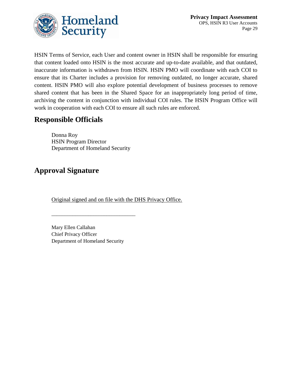

HSIN Terms of Service, each User and content owner in HSIN shall be responsible for ensuring that content loaded onto HSIN is the most accurate and up-to-date available, and that outdated, inaccurate information is withdrawn from HSIN. HSIN PMO will coordinate with each COI to ensure that its Charter includes a provision for removing outdated, no longer accurate, shared content. HSIN PMO will also explore potential development of business processes to remove shared content that has been in the Shared Space for an inappropriately long period of time, archiving the content in conjunction with individual COI rules. The HSIN Program Office will work in cooperation with each COI to ensure all such rules are enforced.

## **Responsible Officials**

Donna Roy HSIN Program Director Department of Homeland Security

# **Approval Signature**

Original signed and on file with the DHS Privacy Office.

Mary Ellen Callahan Chief Privacy Officer Department of Homeland Security

\_\_\_\_\_\_\_\_\_\_\_\_\_\_\_\_\_\_\_\_\_\_\_\_\_\_\_\_\_\_\_\_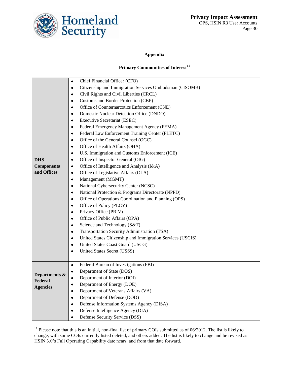

l

#### **Appendix**

#### **Primary Communities of Interest<sup>11</sup>**

|                   | Chief Financial Officer (CFO)<br>$\bullet$                              |  |  |
|-------------------|-------------------------------------------------------------------------|--|--|
|                   | Citizenship and Immigration Services Ombudsman (CISOMB)<br>$\bullet$    |  |  |
|                   | Civil Rights and Civil Liberties (CRCL)<br>$\bullet$                    |  |  |
|                   | Customs and Border Protection (CBP)<br>$\bullet$                        |  |  |
|                   | Office of Counternarcotics Enforcement (CNE)<br>$\bullet$               |  |  |
|                   | Domestic Nuclear Detection Office (DNDO)<br>$\bullet$                   |  |  |
|                   | <b>Executive Secretariat (ESEC)</b><br>$\bullet$                        |  |  |
|                   | Federal Emergency Management Agency (FEMA)<br>$\bullet$                 |  |  |
|                   | Federal Law Enforcement Training Center (FLETC)<br>$\bullet$            |  |  |
|                   | Office of the General Counsel (OGC)<br>$\bullet$                        |  |  |
|                   | Office of Health Affairs (OHA)<br>$\bullet$                             |  |  |
|                   | U.S. Immigration and Customs Enforcement (ICE)<br>$\bullet$             |  |  |
| <b>DHS</b>        | Office of Inspector General (OIG)<br>$\bullet$                          |  |  |
| <b>Components</b> | Office of Intelligence and Analysis (I&A)<br>$\bullet$                  |  |  |
| and Offices       | Office of Legislative Affairs (OLA)<br>$\bullet$                        |  |  |
|                   | Management (MGMT)<br>$\bullet$                                          |  |  |
|                   | National Cybersecurity Center (NCSC)<br>$\bullet$                       |  |  |
|                   | National Protection & Programs Directorate (NPPD)                       |  |  |
|                   | Office of Operations Coordination and Planning (OPS)<br>٠               |  |  |
|                   | Office of Policy (PLCY)<br>$\bullet$                                    |  |  |
|                   | Privacy Office (PRIV)<br>٠                                              |  |  |
|                   | Office of Public Affairs (OPA)<br>$\bullet$                             |  |  |
|                   | Science and Technology (S&T)<br>$\bullet$                               |  |  |
|                   | Transportation Security Administration (TSA)<br>٠                       |  |  |
|                   | United States Citizenship and Immigration Services (USCIS)<br>$\bullet$ |  |  |
|                   | United States Coast Guard (USCG)<br>٠                                   |  |  |
|                   | United States Secret (USSS)<br>$\bullet$                                |  |  |
|                   |                                                                         |  |  |
|                   | Federal Bureau of Investigations (FBI)<br>$\bullet$                     |  |  |
| Departments &     | Department of State (DOS)<br>$\bullet$                                  |  |  |
| Federal           | Department of Interior (DOI)<br>$\bullet$                               |  |  |
| <b>Agencies</b>   | Department of Energy (DOE)<br>$\bullet$                                 |  |  |
|                   | Department of Veterans Affairs (VA)<br>$\bullet$                        |  |  |
|                   | Department of Defense (DOD)<br>$\bullet$                                |  |  |
|                   | Defense Information Systems Agency (DISA)<br>$\bullet$                  |  |  |
|                   | Defense Intelligence Agency (DIA)<br>$\bullet$                          |  |  |
|                   | Defense Security Service (DSS)<br>$\bullet$                             |  |  |

 $11$  Please note that this is an initial, non-final list of primary COIs submitted as of  $06/2012$ . The list is likely to change, with some COIs currently listed deleted, and others added. The list is likely to change and be revised as HSIN 3.0's Full Operating Capability date nears, and from that date forward.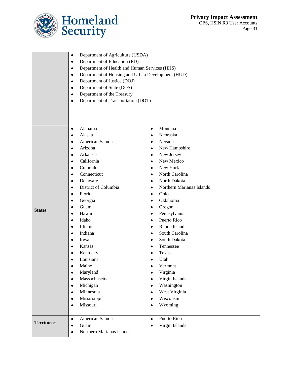



|                    | Department of Agriculture (USDA)<br>$\bullet$                                                                                                                                                                         |           |                           |
|--------------------|-----------------------------------------------------------------------------------------------------------------------------------------------------------------------------------------------------------------------|-----------|---------------------------|
|                    | Department of Education (ED)<br>$\bullet$<br>Department of Health and Human Services (HHS)<br>$\bullet$<br>Department of Housing and Urban Development (HUD)<br>$\bullet$<br>Department of Justice (DOJ)<br>$\bullet$ |           |                           |
|                    |                                                                                                                                                                                                                       |           |                           |
|                    |                                                                                                                                                                                                                       |           |                           |
|                    |                                                                                                                                                                                                                       |           |                           |
|                    | Department of State (DOS)<br>٠<br>Department of the Treasury<br>$\bullet$                                                                                                                                             |           |                           |
|                    |                                                                                                                                                                                                                       |           |                           |
|                    | Department of Transportation (DOT)<br>$\bullet$                                                                                                                                                                       |           |                           |
|                    |                                                                                                                                                                                                                       |           |                           |
|                    |                                                                                                                                                                                                                       |           |                           |
|                    |                                                                                                                                                                                                                       |           |                           |
|                    | Alabama<br>$\bullet$                                                                                                                                                                                                  | $\bullet$ | Montana                   |
|                    | Alaska<br>$\bullet$                                                                                                                                                                                                   |           | Nebraska                  |
|                    | American Samoa<br>$\bullet$                                                                                                                                                                                           |           | Nevada                    |
|                    | Arizona<br>٠                                                                                                                                                                                                          |           | New Hampshire             |
|                    | Arkansas<br>$\bullet$                                                                                                                                                                                                 |           | New Jersey                |
|                    | California<br>$\bullet$                                                                                                                                                                                               |           | New Mexico                |
|                    | Colorado<br>$\bullet$                                                                                                                                                                                                 |           | New York                  |
|                    | Connecticut<br>٠                                                                                                                                                                                                      |           | North Carolina            |
|                    | Delaware<br>$\bullet$                                                                                                                                                                                                 |           | North Dakota              |
|                    | District of Columbia<br>$\bullet$                                                                                                                                                                                     |           | Northern Marianas Islands |
|                    | Florida<br>٠                                                                                                                                                                                                          |           | Ohio                      |
|                    | Georgia<br>$\bullet$                                                                                                                                                                                                  |           | Oklahoma                  |
| <b>States</b>      | Guam<br>$\bullet$                                                                                                                                                                                                     |           | Oregon                    |
|                    | Hawaii<br>٠                                                                                                                                                                                                           |           | Pennsylvania              |
|                    | Idaho<br>٠                                                                                                                                                                                                            |           | Puerto Rico               |
|                    | Illinois<br>$\bullet$                                                                                                                                                                                                 |           | Rhode Island              |
|                    | Indiana<br>$\bullet$                                                                                                                                                                                                  |           | South Carolina            |
|                    | Iowa<br>$\bullet$                                                                                                                                                                                                     |           | South Dakota              |
|                    | Kansas<br>$\bullet$                                                                                                                                                                                                   |           | Tennessee                 |
|                    | Kentucky<br>$\bullet$                                                                                                                                                                                                 |           | Texas                     |
|                    | Louisiana                                                                                                                                                                                                             |           | Utah                      |
|                    | Maine                                                                                                                                                                                                                 |           | Vermont                   |
|                    | Maryland<br>$\bullet$                                                                                                                                                                                                 |           | Virginia                  |
|                    | Massachusetts<br>$\bullet$                                                                                                                                                                                            |           | Virgin Islands            |
|                    | Michigan<br>$\bullet$                                                                                                                                                                                                 |           | Washington                |
|                    | Minnesota<br>$\bullet$                                                                                                                                                                                                |           | West Virginia             |
|                    | Mississippi<br>$\bullet$                                                                                                                                                                                              |           | Wisconsin                 |
|                    | Missouri<br>٠                                                                                                                                                                                                         |           | Wyoming                   |
|                    | American Samoa<br>$\bullet$                                                                                                                                                                                           | $\bullet$ | Puerto Rico               |
| <b>Territories</b> | Guam<br>$\bullet$                                                                                                                                                                                                     |           | Virgin Islands            |
|                    | Northern Marianas Islands<br>$\bullet$                                                                                                                                                                                |           |                           |
|                    |                                                                                                                                                                                                                       |           |                           |